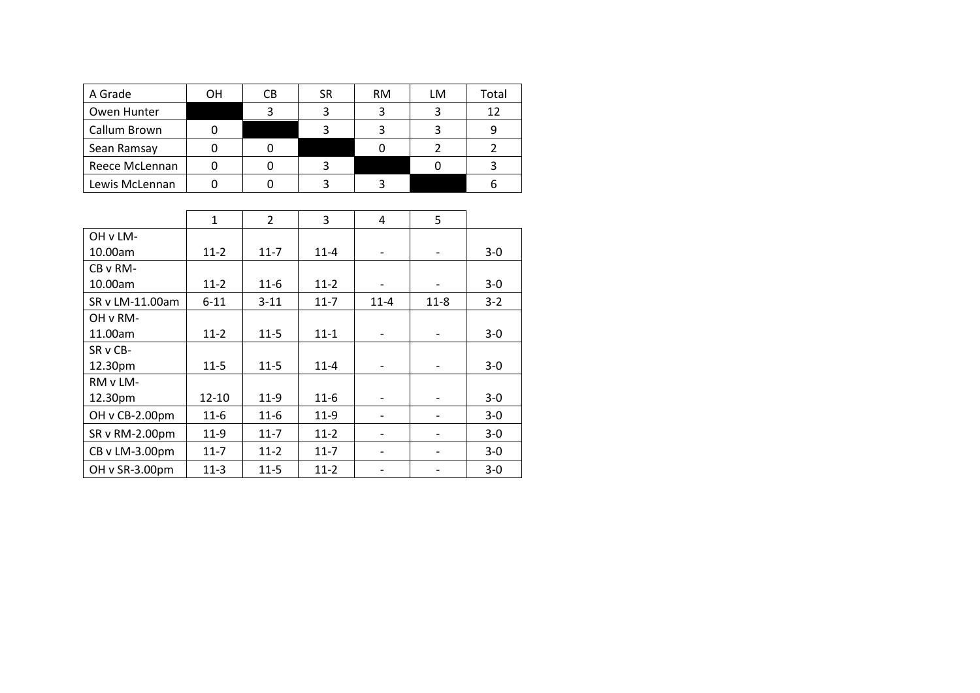| A Grade        | OН | CВ | <b>SR</b> | <b>RM</b> | LM | Total |
|----------------|----|----|-----------|-----------|----|-------|
| Owen Hunter    |    |    |           |           |    | 12    |
| Callum Brown   |    |    |           |           |    |       |
| Sean Ramsay    |    |    |           |           |    |       |
| Reece McLennan |    |    |           |           |    |       |
| Lewis McLennan |    |    |           |           |    |       |

|                 | $\mathbf{1}$ | $\overline{2}$ | 3        | 4                        | 5        |         |
|-----------------|--------------|----------------|----------|--------------------------|----------|---------|
| OH v LM-        |              |                |          |                          |          |         |
| 10.00am         | $11 - 2$     | $11 - 7$       | $11 - 4$ | $\overline{\phantom{0}}$ |          | $3-0$   |
| CB v RM-        |              |                |          |                          |          |         |
| 10.00am         | $11 - 2$     | $11-6$         | $11 - 2$ |                          |          | $3 - 0$ |
| SR v LM-11.00am | $6 - 11$     | $3 - 11$       | $11 - 7$ | $11 - 4$                 | $11 - 8$ | $3 - 2$ |
| OH v RM-        |              |                |          |                          |          |         |
| 11.00am         | $11 - 2$     | $11 - 5$       | $11 - 1$ |                          |          | $3 - 0$ |
| SR v CB-        |              |                |          |                          |          |         |
| 12.30pm         | $11 - 5$     | $11-5$         | $11 - 4$ |                          |          | $3 - 0$ |
| RM v LM-        |              |                |          |                          |          |         |
| 12.30pm         | 12-10        | $11-9$         | $11-6$   |                          |          | $3 - 0$ |
| OH v CB-2.00pm  | $11-6$       | $11-6$         | $11-9$   |                          |          | $3-0$   |
| SR v RM-2.00pm  | $11-9$       | $11 - 7$       | $11-2$   |                          |          | $3 - 0$ |
| CB v LM-3.00pm  | $11 - 7$     | $11-2$         | $11 - 7$ |                          |          | $3-0$   |
| OH v SR-3.00pm  | $11-3$       | $11 - 5$       | $11 - 2$ |                          |          | $3-0$   |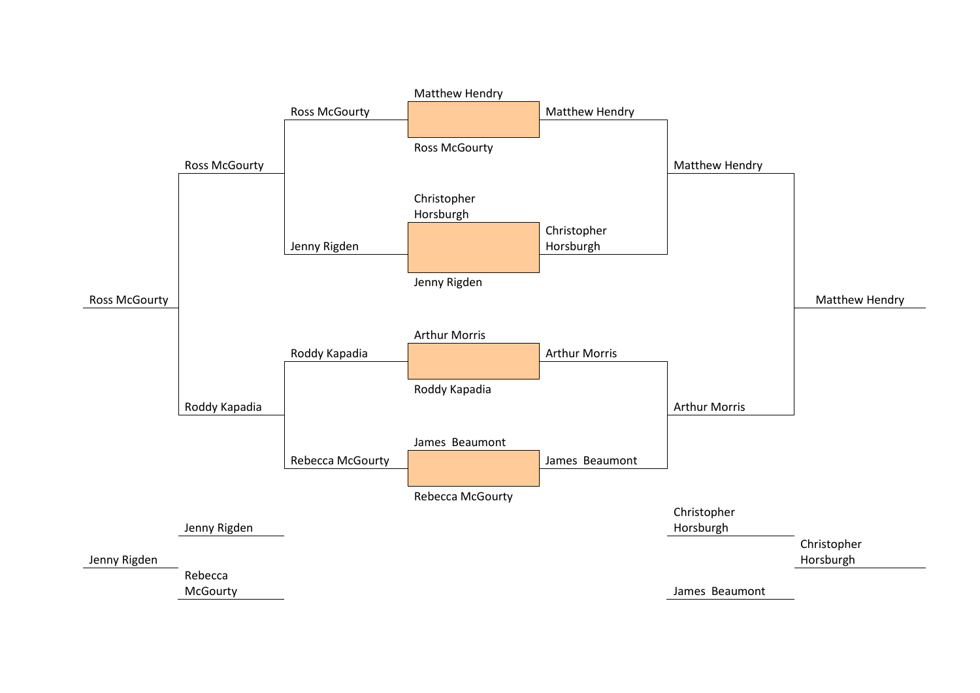